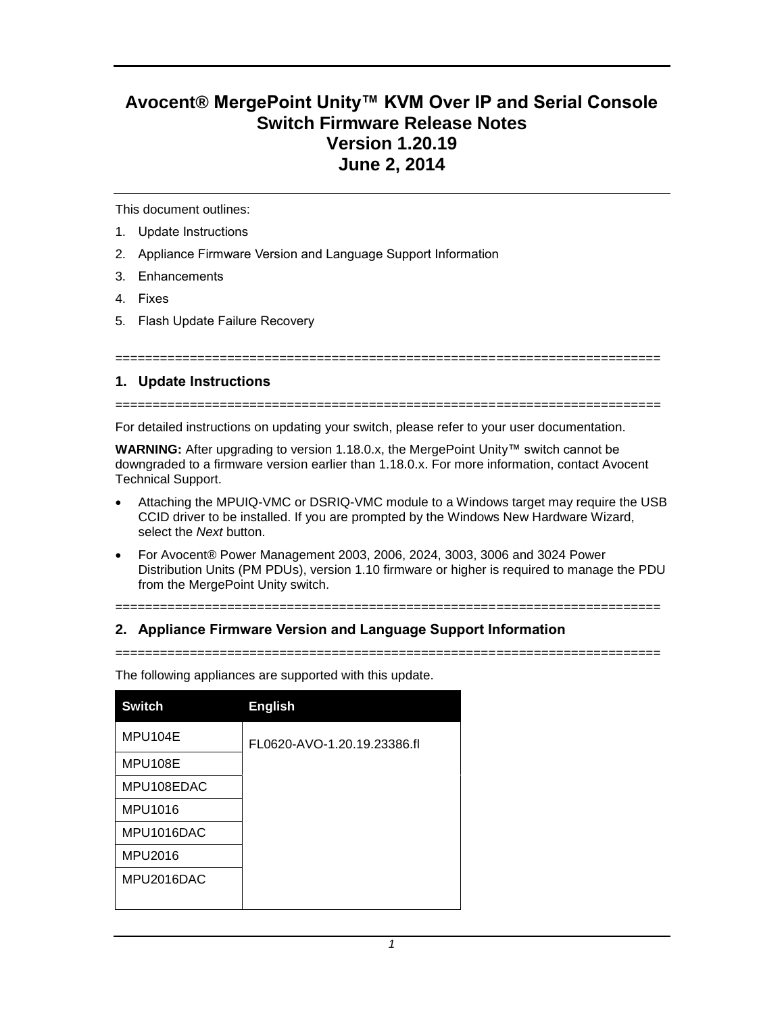# **Avocent® MergePoint Unity™ KVM Over IP and Serial Console Switch Firmware Release Notes Version 1.20.19 June 2, 2014**

This document outlines:

- 1. Update Instructions
- 2. Appliance Firmware Version and Language Support Information

===========================

- 3. Enhancements
- 4. Fixes
- 5. Flash Update Failure Recovery

### **1. Update Instructions**

=========================================================================

For detailed instructions on updating your switch, please refer to your user documentation.

**WARNING:** After upgrading to version 1.18.0.x, the MergePoint Unity™ switch cannot be downgraded to a firmware version earlier than 1.18.0.x. For more information, contact Avocent Technical Support.

- Attaching the MPUIQ-VMC or DSRIQ-VMC module to a Windows target may require the USB CCID driver to be installed. If you are prompted by the Windows New Hardware Wizard, select the *Next* button.
- For Avocent® Power Management 2003, 2006, 2024, 3003, 3006 and 3024 Power Distribution Units (PM PDUs), version 1.10 firmware or higher is required to manage the PDU from the MergePoint Unity switch.

=========================================================================

### **2. Appliance Firmware Version and Language Support Information**

=========================================================================

| <b>Switch</b> | <b>English</b>              |
|---------------|-----------------------------|
| MPU104E       | FL0620-AVO-1.20.19.23386.fl |
| MPU108E       |                             |
| MPU108EDAC    |                             |
| MPU1016       |                             |
| MPU1016DAC    |                             |
| MPU2016       |                             |
| MPU2016DAC    |                             |
|               |                             |

The following appliances are supported with this update.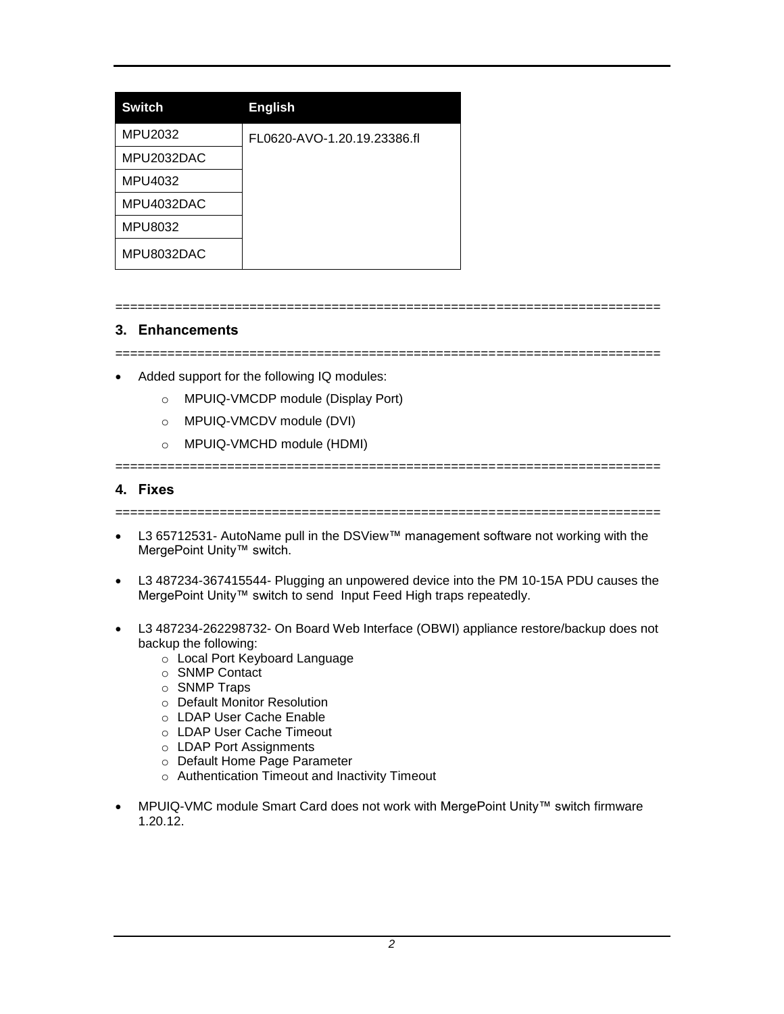| <b>Switch</b> | <b>English</b>              |
|---------------|-----------------------------|
| MPU2032       | FL0620-AVO-1.20.19.23386.fl |
| MPU2032DAC    |                             |
| MPU4032       |                             |
| MPU4032DAC    |                             |
| MPU8032       |                             |
| MPU8032DAC    |                             |

## **3. Enhancements**

=========================================================================

=========================================================================

- Added support for the following IQ modules:
	- o MPUIQ-VMCDP module (Display Port)
	- o MPUIQ-VMCDV module (DVI)
	- o MPUIQ-VMCHD module (HDMI)

=======================

### **4. Fixes**

=========================================================================

- L3 65712531- AutoName pull in the DSView™ management software not working with the MergePoint Unity™ switch.
- L3 487234-367415544- Plugging an unpowered device into the PM 10-15A PDU causes the MergePoint Unity™ switch to send Input Feed High traps repeatedly.
- L3 487234-262298732- On Board Web Interface (OBWI) appliance restore/backup does not backup the following:
	- o Local Port Keyboard Language
	- o SNMP Contact
	- o SNMP Traps
	- o Default Monitor Resolution
	- o LDAP User Cache Enable
	- o LDAP User Cache Timeout
	- o LDAP Port Assignments
	- o Default Home Page Parameter
	- o Authentication Timeout and Inactivity Timeout
- MPUIQ-VMC module Smart Card does not work with MergePoint Unity™ switch firmware 1.20.12.